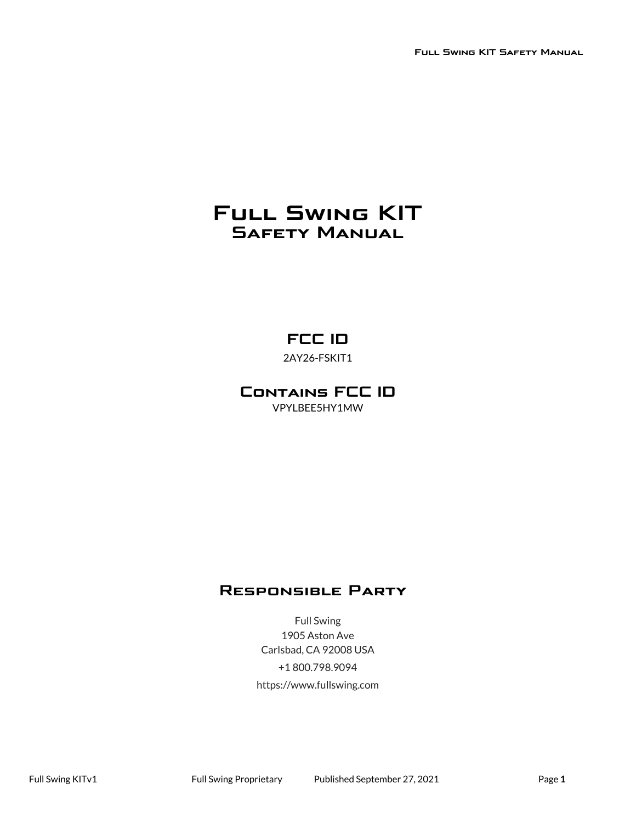# **Full Swing KIT Safety Manual**

# **FCC ID**

2AY26-FSKIT1

### **Contains FCC ID** VPYLBEE5HY1MW

## **Responsible Party**

Full Swing 1905 Aston Ave Carlsbad, CA 92008 USA +1 800.798.9094 https://www.fullswing.com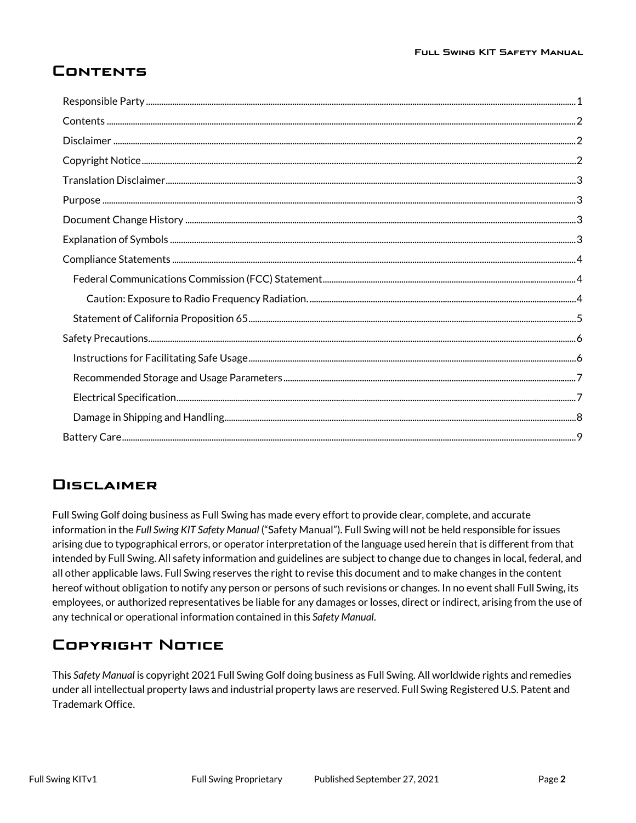# <span id="page-1-0"></span>**Contents**

## <span id="page-1-1"></span>**Disclaimer**

Full Swing Golf doing business as Full Swing has made every effort to provide clear, complete, and accurate information in the *Full Swing KIT Safety Manual* ("Safety Manual"). Full Swing will not be held responsible for issues arising due to typographical errors, or operator interpretation of the language used herein that is different from that intended by Full Swing. All safety information and guidelines are subject to change due to changes in local, federal, and all other applicable laws. Full Swing reserves the right to revise this document and to make changes in the content hereof without obligation to notify any person or persons of such revisions or changes. In no event shall Full Swing, its employees, or authorized representatives be liable for any damages or losses, direct or indirect, arising from the use of any technical or operational information contained in this *Safety Manual*.

## <span id="page-1-2"></span>**Copyright Notice**

This *Safety Manual* is copyright 2021 Full Swing Golf doing business as Full Swing. All worldwide rights and remedies under all intellectual property laws and industrial property laws are reserved. Full Swing Registered U.S. Patent and Trademark Office.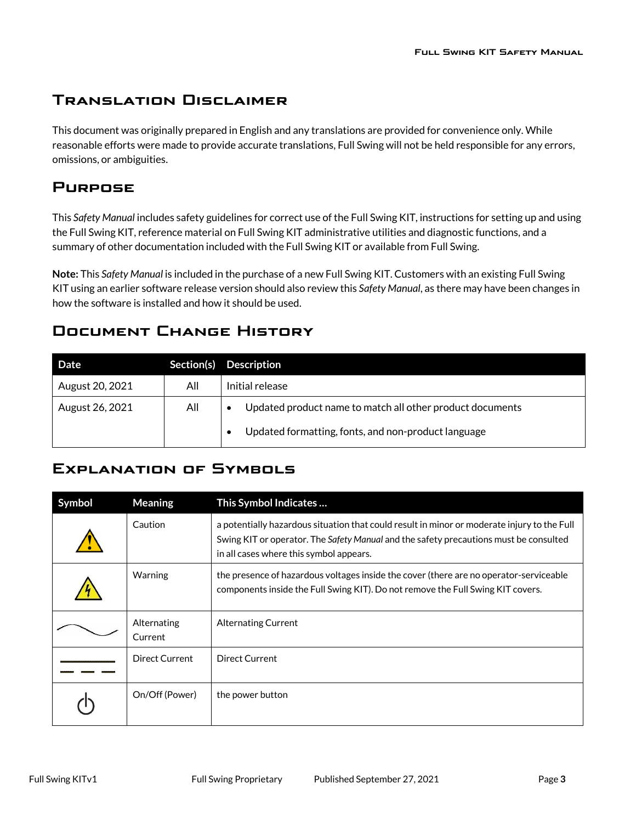## <span id="page-2-0"></span>**Translation Disclaimer**

This document was originally prepared in English and any translations are provided for convenience only. While reasonable efforts were made to provide accurate translations, Full Swing will not be held responsible for any errors, omissions, or ambiguities.

## <span id="page-2-1"></span>**Purpose**

This *Safety Manual* includes safety guidelines for correct use of the Full Swing KIT, instructions for setting up and using the Full Swing KIT, reference material on Full Swing KIT administrative utilities and diagnostic functions, and a summary of other documentation included with the Full Swing KIT or available from Full Swing.

**Note:** This *Safety Manual* is included in the purchase of a new Full Swing KIT. Customers with an existing Full Swing KIT using an earlier software release version should also review this *Safety Manual*, as there may have been changes in how the software is installed and how it should be used.

## <span id="page-2-2"></span>**Document Change History**

| Date            | Section(s) | <b>Description</b>                                                     |
|-----------------|------------|------------------------------------------------------------------------|
| August 20, 2021 | All        | Initial release                                                        |
| August 26, 2021 | All        | Updated product name to match all other product documents<br>$\bullet$ |
|                 |            | Updated formatting, fonts, and non-product language                    |

## <span id="page-2-3"></span>**Explanation of Symbols**

| Symbol | <b>Meaning</b>         | This Symbol Indicates                                                                                                                                                                                                           |
|--------|------------------------|---------------------------------------------------------------------------------------------------------------------------------------------------------------------------------------------------------------------------------|
|        | Caution                | a potentially hazardous situation that could result in minor or moderate injury to the Full<br>Swing KIT or operator. The Safety Manual and the safety precautions must be consulted<br>in all cases where this symbol appears. |
|        | Warning                | the presence of hazardous voltages inside the cover (there are no operator-serviceable<br>components inside the Full Swing KIT). Do not remove the Full Swing KIT covers.                                                       |
|        | Alternating<br>Current | Alternating Current                                                                                                                                                                                                             |
|        | Direct Current         | <b>Direct Current</b>                                                                                                                                                                                                           |
|        | On/Off (Power)         | the power button                                                                                                                                                                                                                |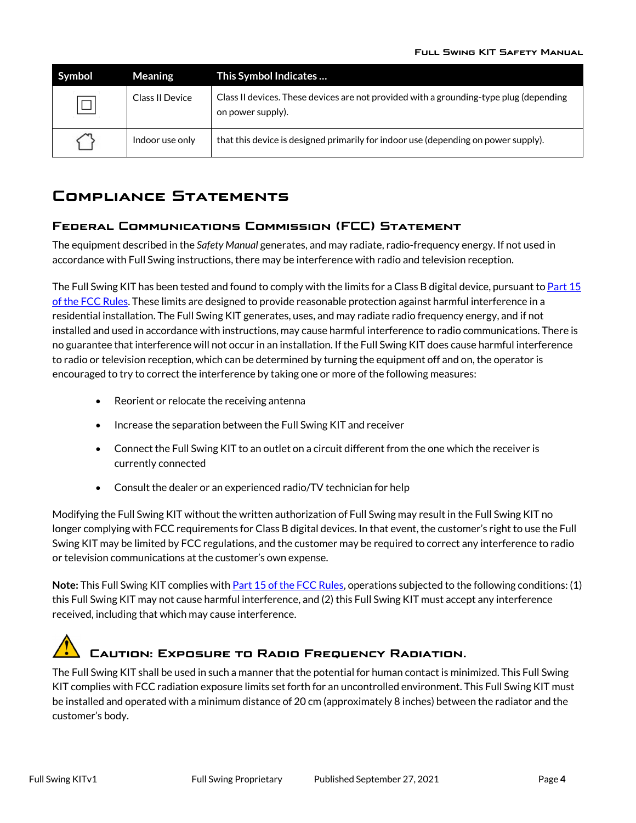| Symbol | <b>Meaning</b>  | This Symbol Indicates                                                                                       |
|--------|-----------------|-------------------------------------------------------------------------------------------------------------|
| $\Box$ | Class II Device | Class II devices. These devices are not provided with a grounding-type plug (depending<br>on power supply). |
|        | Indoor use only | that this device is designed primarily for indoor use (depending on power supply).                          |

## <span id="page-3-0"></span>**Compliance Statements**

### <span id="page-3-1"></span>**Federal Communications Commission (FCC) Statement**

The equipment described in the *Safety Manual* generates, and may radiate, radio-frequency energy. If not used in accordance with Full Swing instructions, there may be interference with radio and television reception.

The Full Swing KIT has been tested and found to comply with the limits for a Class B digital device, pursuant to Part 15 [of the FCC Rules.](https://www.fcc.gov/oet/ea/rfdevice) These limits are designed to provide reasonable protection against harmful interference in a residential installation. The Full Swing KIT generates, uses, and may radiate radio frequency energy, and if not installed and used in accordance with instructions, may cause harmful interference to radio communications. There is no guarantee that interference will not occur in an installation. If the Full Swing KIT does cause harmful interference to radio or television reception, which can be determined by turning the equipment off and on, the operator is encouraged to try to correct the interference by taking one or more of the following measures:

- Reorient or relocate the receiving antenna
- Increase the separation between the Full Swing KIT and receiver
- Connect the Full Swing KIT to an outlet on a circuit different from the one which the receiver is currently connected
- Consult the dealer or an experienced radio/TV technician for help

Modifying the Full Swing KIT without the written authorization of Full Swing may result in the Full Swing KIT no longer complying with FCC requirements for Class B digital devices. In that event, the customer's right to use the Full Swing KIT may be limited by FCC regulations, and the customer may be required to correct any interference to radio or television communications at the customer's own expense.

**Note:** This Full Swing KIT complies with [Part 15 of the FCC Rules,](https://www.fcc.gov/oet/ea/rfdevice) operations subjected to the following conditions: (1) this Full Swing KIT may not cause harmful interference, and (2) this Full Swing KIT must accept any interference received, including that which may cause interference.

# <span id="page-3-2"></span>**Caution: Exposure to Radio Frequency Radiation.**

The Full Swing KIT shall be used in such a manner that the potential for human contact is minimized. This Full Swing KIT complies with FCC radiation exposure limits set forth for an uncontrolled environment. This Full Swing KIT must be installed and operated with a minimum distance of 20 cm (approximately 8 inches) between the radiator and the customer's body.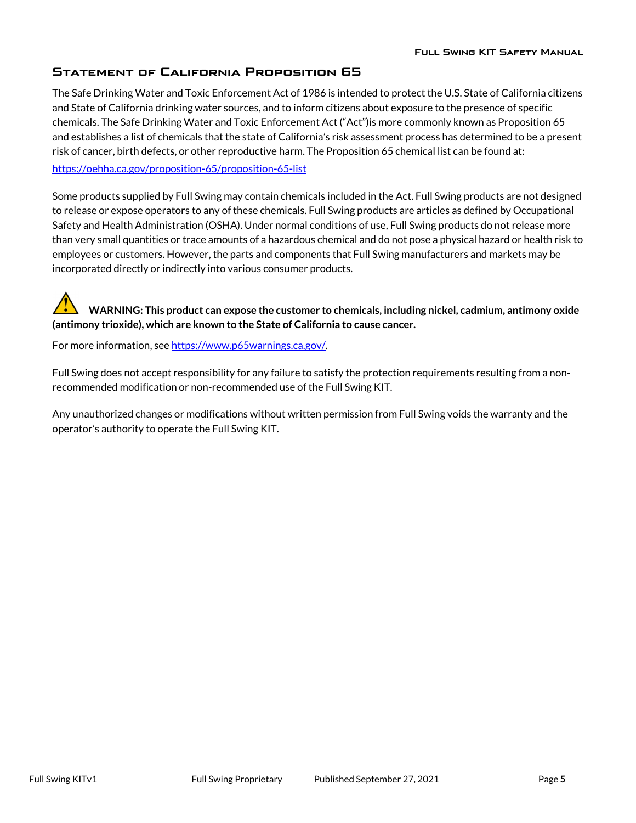### <span id="page-4-0"></span>**Statement of California Proposition 65**

The Safe Drinking Water and Toxic Enforcement Act of 1986 is intended to protect the U.S. State of California citizens and State of California drinking water sources, and to inform citizens about exposure to the presence of specific chemicals. The Safe Drinking Water and Toxic Enforcement Act ("Act")is more commonly known as Proposition 65 and establishes a list of chemicals that the state of California's risk assessment process has determined to be a present risk of cancer, birth defects, or other reproductive harm. The Proposition 65 chemical list can be found at:

<https://oehha.ca.gov/proposition-65/proposition-65-list>

Some products supplied by Full Swing may contain chemicals included in the Act. Full Swing products are not designed to release or expose operators to any of these chemicals. Full Swing products are articles as defined by Occupational Safety and Health Administration (OSHA). Under normal conditions of use, Full Swing products do not release more than very small quantities or trace amounts of a hazardous chemical and do not pose a physical hazard or health risk to employees or customers. However, the parts and components that Full Swing manufacturers and markets may be incorporated directly or indirectly into various consumer products.

**WARNING: This product can expose the customer to chemicals, including nickel, cadmium, antimony oxide (antimony trioxide), which are known to the State of California to cause cancer.** 

For more information, see https://www.p65warnings.ca.gov/.

Full Swing does not accept responsibility for any failure to satisfy the protection requirements resulting from a nonrecommended modification or non-recommended use of the Full Swing KIT.

Any unauthorized changes or modifications without written permission from Full Swing voids the warranty and the operator's authority to operate the Full Swing KIT.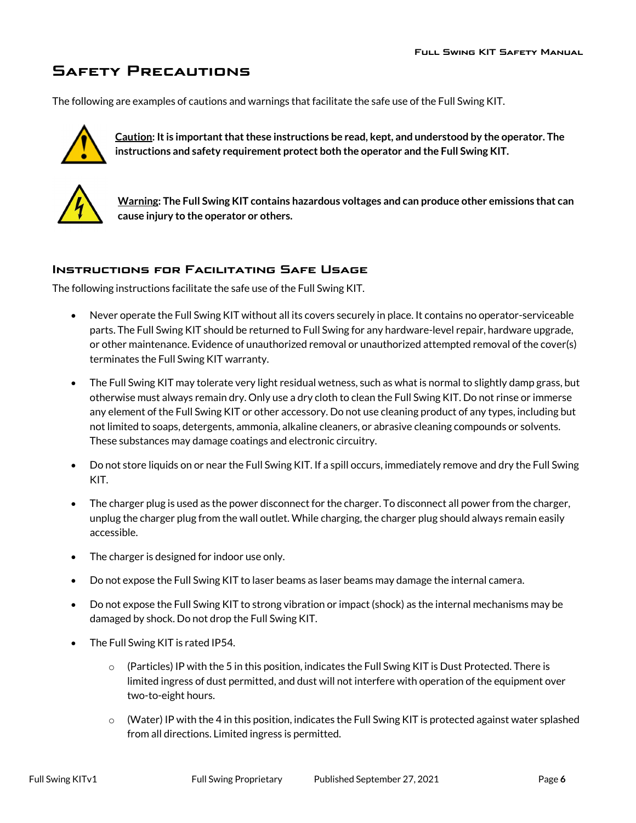# <span id="page-5-0"></span>**Safety Precautions**

The following are examples of cautions and warnings that facilitate the safe use of the Full Swing KIT.



**Caution: It is important that these instructions be read, kept, and understood by the operator. The instructions and safety requirement protect both the operator and the Full Swing KIT.**



**Warning: The Full Swing KIT contains hazardous voltages and can produce other emissions that can cause injury to the operator or others.**

### <span id="page-5-1"></span>**Instructions for Facilitating Safe Usage**

The following instructions facilitate the safe use of the Full Swing KIT.

- Never operate the Full Swing KIT without all its covers securely in place. It contains no operator-serviceable parts. The Full Swing KIT should be returned to Full Swing for any hardware-level repair, hardware upgrade, or other maintenance. Evidence of unauthorized removal or unauthorized attempted removal of the cover(s) terminates the Full Swing KIT warranty.
- The Full Swing KIT may tolerate very light residual wetness, such as what is normal to slightly damp grass, but otherwise must always remain dry. Only use a dry cloth to clean the Full Swing KIT. Do not rinse or immerse any element of the Full Swing KIT or other accessory. Do not use cleaning product of any types, including but not limited to soaps, detergents, ammonia, alkaline cleaners, or abrasive cleaning compounds or solvents. These substances may damage coatings and electronic circuitry.
- Do not store liquids on or near the Full Swing KIT. If a spill occurs, immediately remove and dry the Full Swing KIT.
- The charger plug is used as the power disconnect for the charger. To disconnect all power from the charger, unplug the charger plug from the wall outlet. While charging, the charger plug should always remain easily accessible.
- The charger is designed for indoor use only.
- Do not expose the Full Swing KIT to laser beams as laser beams may damage the internal camera.
- Do not expose the Full Swing KIT to strong vibration or impact (shock) as the internal mechanisms may be damaged by shock. Do not drop the Full Swing KIT.
- The Full Swing KIT is rated IP54.
	- $\circ$  (Particles) IP with the 5 in this position, indicates the Full Swing KIT is Dust Protected. There is limited ingress of dust permitted, and dust will not interfere with operation of the equipment over two-to-eight hours.
	- $\circ$  (Water) IP with the 4 in this position, indicates the Full Swing KIT is protected against water splashed from all directions. Limited ingress is permitted.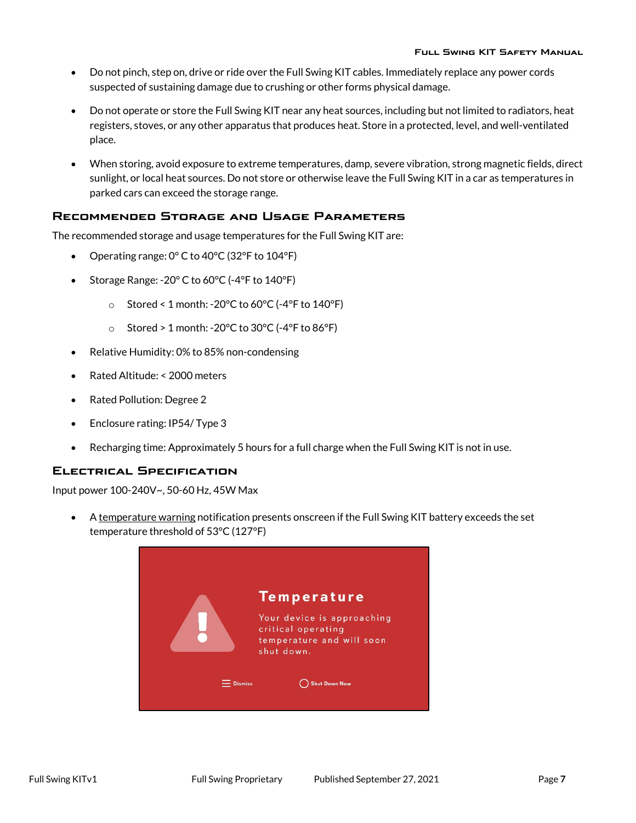- Do not pinch, step on, drive or ride over the Full Swing KIT cables. Immediately replace any power cords suspected of sustaining damage due to crushing or other forms physical damage.
- Do not operate or store the Full Swing KIT near any heat sources, including but not limited to radiators, heat registers, stoves, or any other apparatus that produces heat. Store in a protected, level, and well-ventilated place.
- When storing, avoid exposure to extreme temperatures, damp, severe vibration, strong magnetic fields, direct sunlight, or local heat sources. Do not store or otherwise leave the Full Swing KIT in a car as temperatures in parked cars can exceed the storage range.

### <span id="page-6-0"></span>**Recommended Storage and Usage Parameters**

The recommended storage and usage temperatures for the Full Swing KIT are:

- Operating range: 0° C to 40°C (32°F to 104°F)
- Storage Range: -20° C to 60°C (-4°F to 140°F)
	- $\circ$  Stored < 1 month: -20°C to 60°C (-4°F to 140°F)
	- o Stored > 1 month: -20 $\degree$ C to 30 $\degree$ C (-4 $\degree$ F to 86 $\degree$ F)
- Relative Humidity: 0% to 85% non-condensing
- Rated Altitude: < 2000 meters
- Rated Pollution: Degree 2
- Enclosure rating: IP54/ Type 3
- Recharging time: Approximately 5 hours for a full charge when the Full Swing KIT is not in use.

### <span id="page-6-1"></span>**Electrical Specification**

Input power 100-240V~, 50-60 Hz, 45W Max

• A temperature warning notification presents onscreen if the Full Swing KIT battery exceeds the set temperature threshold of 53°C (127°F)

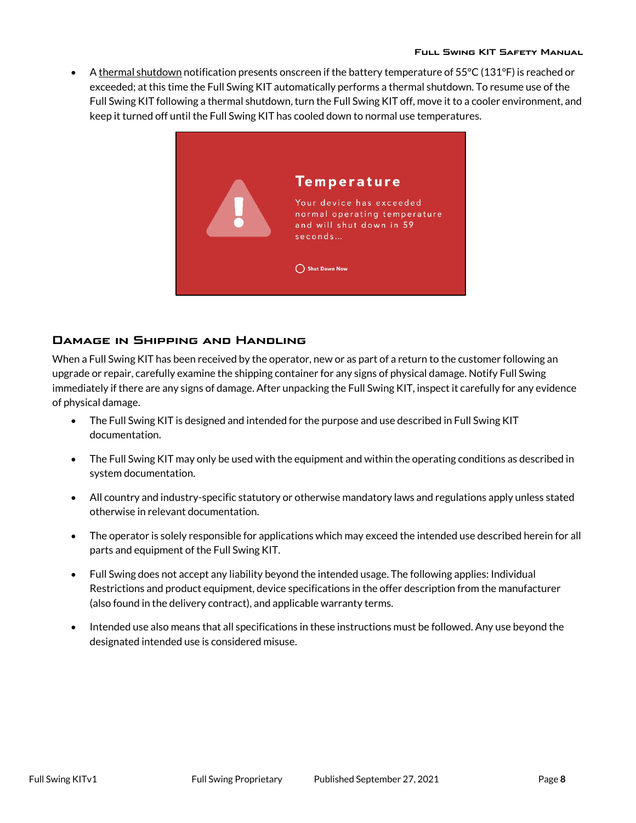• A thermal shutdown notification presents onscreen if the battery temperature of  $55^{\circ}$ C (131 $^{\circ}$ F) is reached or exceeded; at this time the Full Swing KIT automatically performs a thermal shutdown. To resume use of the Full Swing KIT following a thermal shutdown, turn the Full Swing KIT off, move it to a cooler environment, and keep it turned off until the Full Swing KIT has cooled down to normal use temperatures.



### <span id="page-7-0"></span>**Damage in Shipping and Handling**

When a Full Swing KIT has been received by the operator, new or as part of a return to the customer following an upgrade or repair, carefully examine the shipping container for any signs of physical damage. Notify Full Swing immediately if there are any signs of damage. After unpacking the Full Swing KIT, inspect it carefully for any evidence of physical damage.

- The Full Swing KIT is designed and intended for the purpose and use described in Full Swing KIT documentation.
- The Full Swing KIT may only be used with the equipment and within the operating conditions as described in system documentation.
- All country and industry-specific statutory or otherwise mandatory laws and regulations apply unless stated otherwise in relevant documentation.
- The operator is solely responsible for applications which may exceed the intended use described herein for all parts and equipment of the Full Swing KIT.
- Full Swing does not accept any liability beyond the intended usage. The following applies: Individual Restrictions and product equipment, device specifications in the offer description from the manufacturer (also found in the delivery contract), and applicable warranty terms.
- Intended use also means that all specifications in these instructions must be followed. Any use beyond the designated intended use is considered misuse.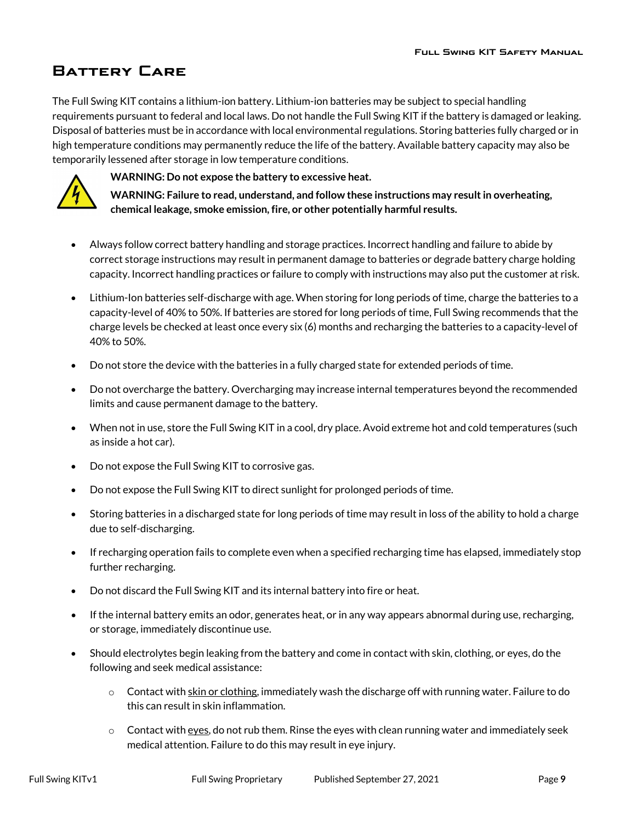# <span id="page-8-0"></span>**Battery Care**

The Full Swing KIT contains a lithium-ion battery. Lithium-ion batteries may be subject to special handling requirements pursuant to federal and local laws. Do not handle the Full Swing KIT if the battery is damaged or leaking. Disposal of batteries must be in accordance with local environmental regulations. Storing batteries fully charged or in high temperature conditions may permanently reduce the life of the battery. Available battery capacity may also be temporarily lessened after storage in low temperature conditions.



**WARNING: Do not expose the battery to excessive heat.**

**WARNING: Failure to read, understand, and follow these instructions may result in overheating, chemical leakage, smoke emission, fire, or other potentially harmful results.**

- Always follow correct battery handling and storage practices. Incorrect handling and failure to abide by correct storage instructions may result in permanent damage to batteries or degrade battery charge holding capacity. Incorrect handling practices or failure to comply with instructions may also put the customer at risk.
- Lithium-Ion batteries self-discharge with age. When storing for long periods of time, charge the batteries to a capacity-level of 40% to 50%. If batteries are stored for long periods of time, Full Swing recommends that the charge levels be checked at least once every six (6) months and recharging the batteries to a capacity-level of 40% to 50%.
- Do not store the device with the batteries in a fully charged state for extended periods of time.
- Do not overcharge the battery. Overcharging may increase internal temperatures beyond the recommended limits and cause permanent damage to the battery.
- When not in use, store the Full Swing KIT in a cool, dry place. Avoid extreme hot and cold temperatures (such as inside a hot car).
- Do not expose the Full Swing KIT to corrosive gas.
- Do not expose the Full Swing KIT to direct sunlight for prolonged periods of time.
- Storing batteries in a discharged state for long periods of time may result in loss of the ability to hold a charge due to self-discharging.
- If recharging operation fails to complete even when a specified recharging time has elapsed, immediately stop further recharging.
- Do not discard the Full Swing KIT and its internal battery into fire or heat.
- If the internal battery emits an odor, generates heat, or in any way appears abnormal during use, recharging, or storage, immediately discontinue use.
- Should electrolytes begin leaking from the battery and come in contact with skin, clothing, or eyes, do the following and seek medical assistance:
	- $\circ$  Contact with skin or clothing, immediately wash the discharge off with running water. Failure to do this can result in skin inflammation.
	- $\circ$  Contact with eyes, do not rub them. Rinse the eyes with clean running water and immediately seek medical attention. Failure to do this may result in eye injury.